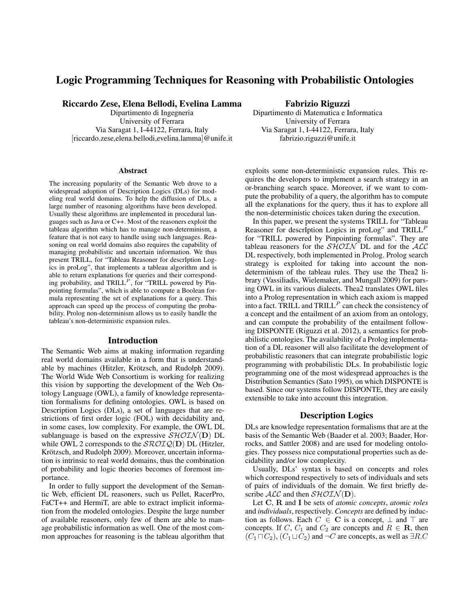# Logic Programming Techniques for Reasoning with Probabilistic Ontologies

Riccardo Zese, Elena Bellodi, Evelina Lamma

Dipartimento di Ingegneria University of Ferrara Via Saragat 1, I-44122, Ferrara, Italy [riccardo.zese,elena.bellodi,evelina.lamma]@unife.it

#### Abstract

The increasing popularity of the Semantic Web drove to a widespread adoption of Description Logics (DLs) for modeling real world domains. To help the diffusion of DLs, a large number of reasoning algorithms have been developed. Usually these algorithms are implemented in procedural languages such as Java or C++. Most of the reasoners exploit the tableau algorithm which has to manage non-determinism, a feature that is not easy to handle using such languages. Reasoning on real world domains also requires the capability of managing probabilistic and uncertain information. We thus present TRILL, for "Tableau Reasoner for descrIption Logics in proLog", that implements a tableau algorithm and is able to return explanations for queries and their corresponding probability, and  $TRILL<sup>P</sup>$ , for "TRILL powered by Pinpointing formulas", which is able to compute a Boolean formula representing the set of explanations for a query. This approach can speed up the process of computing the probability. Prolog non-determinism allows us to easily handle the tableau's non-deterministic expansion rules.

#### Introduction

The Semantic Web aims at making information regarding real world domains available in a form that is understandable by machines (Hitzler, Krötzsch, and Rudolph 2009). The World Wide Web Consortium is working for realizing this vision by supporting the development of the Web Ontology Language (OWL), a family of knowledge representation formalisms for defining ontologies. OWL is based on Description Logics (DLs), a set of languages that are restrictions of first order logic (FOL) with decidability and, in some cases, low complexity. For example, the OWL DL sublanguage is based on the expressive  $\mathcal{SHOLN}(\mathbf{D})$  DL while OWL 2 corresponds to the  $\mathcal{SROIQ}(\mathbf{D})$  DL (Hitzler, Krötzsch, and Rudolph 2009). Moreover, uncertain information is intrinsic to real world domains, thus the combination of probability and logic theories becomes of foremost importance.

In order to fully support the development of the Semantic Web, efficient DL reasoners, such us Pellet, RacerPro, FaCT++ and HermiT, are able to extract implicit information from the modeled ontologies. Despite the large number of available reasoners, only few of them are able to manage probabilistic information as well. One of the most common approaches for reasoning is the tableau algorithm that

Fabrizio Riguzzi

Dipartimento di Matematica e Informatica University of Ferrara Via Saragat 1, I-44122, Ferrara, Italy fabrizio.riguzzi@unife.it

exploits some non-deterministic expansion rules. This requires the developers to implement a search strategy in an or-branching search space. Moreover, if we want to compute the probability of a query, the algorithm has to compute all the explanations for the query, thus it has to explore all the non-deterministic choices taken during the execution.

In this paper, we present the systems TRILL for "Tableau Reasoner for descrIption Logics in proLog" and  $TRILL<sup>P</sup>$ for "TRILL powered by Pinpointing formulas". They are tableau reasoners for the  $\mathcal{SHOLN}$  DL and for the  $\mathcal{ALC}$ DL respectively, both implemented in Prolog. Prolog search strategy is exploited for taking into account the nondeterminism of the tableau rules. They use the Thea2 library (Vassiliadis, Wielemaker, and Mungall 2009) for parsing OWL in its various dialects. Thea2 translates OWL files into a Prolog representation in which each axiom is mapped into a fact. TRILL and  $TRILL<sup>P</sup>$  can check the consistency of a concept and the entailment of an axiom from an ontology, and can compute the probability of the entailment following DISPONTE (Riguzzi et al. 2012), a semantics for probabilistic ontologies. The availability of a Prolog implementation of a DL reasoner will also facilitate the development of probabilistic reasoners that can integrate probabilistic logic programming with probabilistic DLs. In probabilistic logic programming one of the most widespread approaches is the Distribution Semantics (Sato 1995), on which DISPONTE is based. Since our systems follow DISPONTE, they are easily extensible to take into account this integration.

#### Description Logics

DLs are knowledge representation formalisms that are at the basis of the Semantic Web (Baader et al. 2003; Baader, Horrocks, and Sattler 2008) and are used for modeling ontologies. They possess nice computational properties such as decidability and/or low complexity.

Usually, DLs' syntax is based on concepts and roles which correspond respectively to sets of individuals and sets of pairs of individuals of the domain. We first briefly describe  $\mathcal{ALC}$  and then  $\mathcal{SHOLN}(\mathbf{D})$ .

Let C, R and I be sets of *atomic concepts*, *atomic roles* and *individuals*, respectively. *Concepts* are defined by induction as follows. Each  $C \in \mathbb{C}$  is a concept,  $\perp$  and  $\top$  are concepts. If C,  $C_1$  and  $C_2$  are concepts and  $R \in \mathbf{R}$ , then  $(C_1 \sqcap C_2)$ ,  $(C_1 \sqcup C_2)$  and  $\neg C$  are concepts, as well as  $\exists R.C$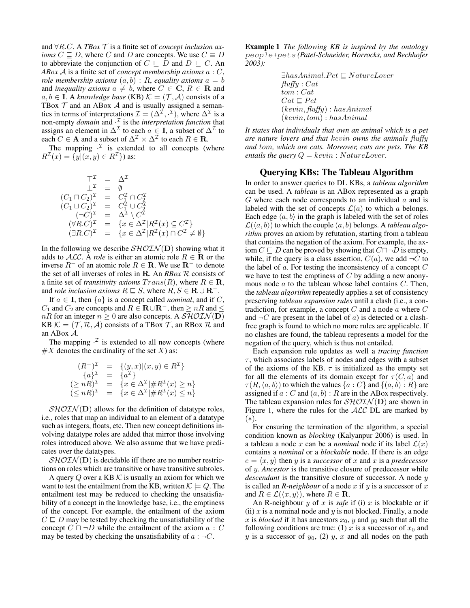and ∀R.C. A *TBox* T is a finite set of *concept inclusion axioms*  $C \sqsubseteq D$ , where C and D are concepts. We use  $C \equiv D$ to abbreviate the conjunction of  $C \subseteq D$  and  $D \subseteq C$ . An *ABox* A is a finite set of *concept membership axioms* a : C, *role membership axioms*  $(a, b) : R$ , *equality axioms*  $a = b$ and *inequality axioms*  $a \neq b$ , where  $C \in \mathbb{C}$ ,  $R \in \mathbb{R}$  and  $a, b \in I$ . A *knowledge base* (KB)  $K = (\mathcal{T}, \mathcal{A})$  consists of a TBox  $\mathcal T$  and an ABox  $\mathcal A$  and is usually assigned a semantics in terms of interpretations  $\mathcal{I} = (\Delta^{\tilde{\mathcal{I}}}, \cdot^{\mathcal{I}})$ , where  $\Delta^{\mathcal{I}}$  is a non-empty *domain* and  $\cdot^{\mathcal{I}}$  is the *interpretation function* that assigns an element in  $\Delta^{\mathcal{I}}$  to each  $a \in I$ , a subset of  $\Delta^{\mathcal{I}}$  to each  $C \in \mathbf{A}$  and a subset of  $\Delta^{\mathcal{I}} \times \Delta^{\mathcal{I}}$  to each  $R \in \mathbf{R}$ .

The mapping  $\cdot^{\mathcal{I}}$  is extended to all concepts (where  $R^{\mathcal{I}}(x) = \{y | (x, y) \in R^{\mathcal{I}}\}\)$  as:

$$
\begin{array}{rcl}\n\top^{\mathcal{I}} & = & \Delta^{\mathcal{I}} \\
\bot^{\mathcal{I}} & = & \emptyset \\
(C_1 \sqcap C_2)^{\mathcal{I}} & = & C_1^{\mathcal{I}} \cap C_2^{\mathcal{I}} \\
(C_1 \sqcup C_2)^{\mathcal{I}} & = & C_1^{\mathcal{I}} \cup C_2^{\mathcal{I}} \\
(\neg C)^{\mathcal{I}} & = & \Delta^{\mathcal{I}} \setminus C^{\mathcal{I}} \\
(\forall R.C)^{\mathcal{I}} & = & \{x \in \Delta^{\mathcal{I}} | R^{\mathcal{I}}(x) \subseteq C^{\mathcal{I}} \} \\
(\exists R.C)^{\mathcal{I}} & = & \{x \in \Delta^{\mathcal{I}} | R^{\mathcal{I}}(x) \cap C^{\mathcal{I}} \neq \emptyset \}\n\end{array}
$$

In the following we describe  $\mathcal{SHOLN}(\mathbf{D})$  showing what it adds to  $ALC$ . A *role* is either an atomic role  $R \in \mathbf{R}$  or the inverse  $R^-$  of an atomic role  $R \in \mathbb{R}$ . We use  $\mathbb{R}^-$  to denote the set of all inverses of roles in R. An *RBox* R consists of a finite set of *transitivity axioms*  $Trans(R)$ , where  $R \in \mathbf{R}$ , and *role inclusion axioms*  $R \subseteq S$ , where  $R, S \in \mathbf{R} \cup \mathbf{R}^{-}$ .

If  $a \in I$ , then  $\{a\}$  is a concept called *nominal*, and if C,  $C_1$  and  $C_2$  are concepts and  $R \in \mathbf{R} \cup \mathbf{R}^-$ , then  $\geq nR$  and  $\leq$  $nR$  for an integer  $n \geq 0$  are also concepts. A  $\mathcal{SHOLN}(\mathbf{D})$ KB  $\mathcal{K} = (\mathcal{T}, \mathcal{R}, \mathcal{A})$  consists of a TBox  $\mathcal{T}$ , an RBox  $\mathcal{R}$  and an ABox A.

The mapping  $\cdot^{\mathcal{I}}$  is extended to all new concepts (where  $#X$  denotes the cardinality of the set X) as:

$$
(R^{-})^{\mathcal{I}} = \{(y, x) | (x, y) \in R^{\mathcal{I}}\} \n\{a\}^{\mathcal{I}} = \{a^{\mathcal{I}}\} \n(\ge nR)^{\mathcal{I}} = \{x \in \Delta^{\mathcal{I}} | \# R^{\mathcal{I}}(x) \ge n\} \n(\le nR)^{\mathcal{I}} = \{x \in \Delta^{\mathcal{I}} | \# R^{\mathcal{I}}(x) \le n\}
$$

 $\mathcal{SHOLN}(\mathbf{D})$  allows for the definition of datatype roles, i.e., roles that map an individual to an element of a datatype such as integers, floats, etc. Then new concept definitions involving datatype roles are added that mirror those involving roles introduced above. We also assume that we have predicates over the datatypes.

 $\mathcal{SHOLN}(\mathbf{D})$  is decidable iff there are no number restrictions on roles which are transitive or have transitive subroles.

A query Q over a KB  $K$  is usually an axiom for which we want to test the entailment from the KB, written  $\mathcal{K} \models Q$ . The entailment test may be reduced to checking the unsatisfiability of a concept in the knowledge base, i.e., the emptiness of the concept. For example, the entailment of the axiom  $C \sqsubseteq D$  may be tested by checking the unsatisfiability of the concept  $C \sqcap \neg D$  while the entailment of the axiom  $a : C$ may be tested by checking the unsatisfiability of  $a : \neg C$ .

Example 1 *The following KB is inspired by the ontology* people+pets *(Patel-Schneider, Horrocks, and Bechhofer 2003):*

> $\exists has Animal.Pet \sqsubseteq NatureLower$  $fluffy : Cat$ tom : Cat  $Cat \sqsubseteq Pet$  $(key) : hasAnimal$  $(keyin, tom): hasAnimal$

*It states that individuals that own an animal which is a pet are nature lovers and that* kevin *owns the animals* fluffy *and* tom*, which are cats. Moreover, cats are pets. The KB entails the query*  $Q = \text{kevin}: \text{NatureLower}.$ 

#### Querying KBs: The Tableau Algorithm

In order to answer queries to DL KBs, a *tableau algorithm* can be used. A *tableau* is an ABox represented as a graph  $G$  where each node corresponds to an individual  $\alpha$  and is labeled with the set of concepts  $\mathcal{L}(a)$  to which a belongs. Each edge  $\langle a, b \rangle$  in the graph is labeled with the set of roles  $\mathcal{L}(\langle a, b \rangle)$  to which the couple  $(a, b)$  belongs. A *tableau algorithm* proves an axiom by refutation, starting from a tableau that contains the negation of the axiom. For example, the axiom  $C \sqsubseteq D$  can be proved by showing that  $C \sqcap \neg D$  is empty, while, if the query is a class assertion,  $C(a)$ , we add  $\neg C$  to the label of  $a$ . For testing the inconsistency of a concept  $C$ we have to test the emptiness of  $C$  by adding a new anonymous node  $\alpha$  to the tableau whose label contains  $C$ . Then, the *tableau algorithm* repeatedly applies a set of consistency preserving *tableau expansion rules* until a clash (i.e., a contradiction, for example, a concept  $C$  and a node  $\alpha$  where  $C$ and  $\neg C$  are present in the label of a) is detected or a clashfree graph is found to which no more rules are applicable. If no clashes are found, the tableau represents a model for the negation of the query, which is thus not entailed.

Each expansion rule updates as well a *tracing function*  $\tau$ , which associates labels of nodes and edges with a subset of the axioms of the KB.  $\tau$  is initialized as the empty set for all the elements of its domain except for  $\tau(C, a)$  and  $\tau(R,\langle a,b\rangle)$  to which the values  $\{a : C\}$  and  $\{(a, b) : R\}$  are assigned if  $a : C$  and  $(a, b) : R$  are in the ABox respectively. The tableau expansion rules for  $\mathcal{SHOLN}(\mathbf{D})$  are shown in Figure 1, where the rules for the  $ALC$  DL are marked by (∗).

For ensuring the termination of the algorithm, a special condition known as *blocking* (Kalyanpur 2006) is used. In a tableau a node x can be a *nominal* node if its label  $\mathcal{L}(x)$ contains a *nominal* or a *blockable* node. If there is an edge  $e = \langle x, y \rangle$  then y is a *successor* of x and x is a *predecessor* of y. *Ancestor* is the transitive closure of predecessor while *descendant* is the transitive closure of successor. A node y is called an *R-neighbour* of a node  $x$  if  $y$  is a successor of  $x$ and  $R \in \mathcal{L}(\langle x, y \rangle)$ , where  $R \in \mathbf{R}$ .

An R-neighbour  $y$  of  $x$  is *safe* if (i)  $x$  is blockable or if (ii)  $x$  is a nominal node and  $y$  is not blocked. Finally, a node x is *blocked* if it has ancestors  $x_0$ , y and  $y_0$  such that all the following conditions are true: (1) x is a successor of  $x_0$  and y is a successor of  $y_0$ , (2) y, x and all nodes on the path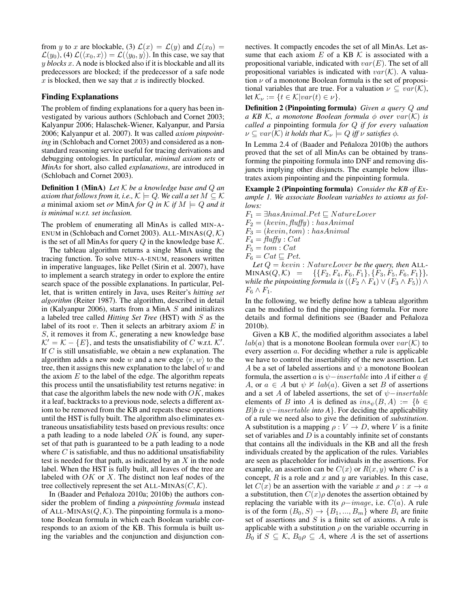from y to x are blockable, (3)  $\mathcal{L}(x) = \mathcal{L}(y)$  and  $\mathcal{L}(x_0) =$  $\mathcal{L}(y_0)$ , (4)  $\mathcal{L}(\langle x_0, x \rangle) = \mathcal{L}(\langle y_0, y \rangle)$ . In this case, we say that y *blocks* x. A node is blocked also if it is blockable and all its predecessors are blocked; if the predecessor of a safe node  $x$  is blocked, then we say that  $x$  is indirectly blocked.

#### Finding Explanations

The problem of finding explanations for a query has been investigated by various authors (Schlobach and Cornet 2003; Kalyanpur 2006; Halaschek-Wiener, Kalyanpur, and Parsia 2006; Kalyanpur et al. 2007). It was called *axiom pinpointing* in (Schlobach and Cornet 2003) and considered as a nonstandard reasoning service useful for tracing derivations and debugging ontologies. In particular, *minimal axiom sets* or *MinAs* for short, also called *explanations*, are introduced in (Schlobach and Cornet 2003).

Definition 1 (MinA) *Let* K *be a knowledge base and* Q *an axiom that follows from it, i.e.,*  $K \models Q$ *. We call a set*  $M \subseteq K$ *a* minimal axiom set *or* MinA *for* Q *in*  $K$  *if*  $M \models Q$  *and it is minimal w.r.t. set inclusion.*

The problem of enumerating all MinAs is called MIN-A-ENUM in (Schlobach and Cornet 2003). ALL-MINAS( $Q, K$ ) is the set of all MinAs for query  $Q$  in the knowledge base  $K$ .

The tableau algorithm returns a single MinA using the tracing function. To solve MIN-A-ENUM, reasoners written in imperative languages, like Pellet (Sirin et al. 2007), have to implement a search strategy in order to explore the entire search space of the possible explanations. In particular, Pellet, that is written entirely in Java, uses Reiter's *hitting set algorithm* (Reiter 1987). The algorithm, described in detail in (Kalyanpur 2006), starts from a MinA  $S$  and initializes a labeled tree called *Hitting Set Tree* (HST) with S as the label of its root  $v$ . Then it selects an arbitrary axiom  $E$  in S, it removes it from  $K$ , generating a new knowledge base  $K' = K - \{E\}$ , and tests the unsatisfiability of C w.r.t. K'. If  $C$  is still unsatisfiable, we obtain a new explanation. The algorithm adds a new node w and a new edge  $\langle v, w \rangle$  to the tree, then it assigns this new explanation to the label of  $w$  and the axiom  $E$  to the label of the edge. The algorithm repeats this process until the unsatisfiability test returns negative: in that case the algorithm labels the new node with  $OK$ , makes it a leaf, backtracks to a previous node, selects a different axiom to be removed from the KB and repeats these operations until the HST is fully built. The algorithm also eliminates extraneous unsatisfiability tests based on previous results: once a path leading to a node labeled  $OK$  is found, any superset of that path is guaranteed to be a path leading to a node where  $C$  is satisfiable, and thus no additional unsatisfiability test is needed for that path, as indicated by an  $X$  in the node label. When the HST is fully built, all leaves of the tree are labeled with  $OK$  or  $X$ . The distinct non leaf nodes of the tree collectively represent the set ALL-MINAS $(C, K)$ .

In (Baader and Peñaloza 2010a; 2010b) the authors consider the problem of finding a *pinpointing formula* instead of ALL-MINAS( $Q, K$ ). The pinpointing formula is a monotone Boolean formula in which each Boolean variable corresponds to an axiom of the KB. This formula is built using the variables and the conjunction and disjunction connectives. It compactly encodes the set of all MinAs. Let assume that each axiom  $E$  of a KB  $K$  is associated with a propositional variable, indicated with  $var(E)$ . The set of all propositional variables is indicated with  $var(\mathcal{K})$ . A valuation  $\nu$  of a monotone Boolean formula is the set of propositional variables that are true. For a valuation  $\nu \subseteq var(\mathcal{K}),$ let  $\mathcal{K}_{\nu} := \{t \in \mathcal{K} | var(t) \in \nu\}.$ 

Definition 2 (Pinpointing formula) *Given a query* Q *and a* KB K, a monotone Boolean formula  $\phi$  *over*  $var(K)$  *is called a* pinpointing formula *for* Q *if for every valuation*  $\nu \subseteq var(\mathcal{K})$  *it holds that*  $\mathcal{K}_{\nu} \models Q$  *iff*  $\nu$  *satisfies*  $\phi$ *.* 

In Lemma 2.4 of (Baader and Peñaloza 2010b) the authors proved that the set of all MinAs can be obtained by transforming the pinpoiting formula into DNF and removing disjuncts implying other disjuncts. The example below illustrates axiom pinpointing and the pinpointing formula.

Example 2 (Pinpointing formula) *Consider the KB of Example 1. We associate Boolean variables to axioms as follows:*

 $F_1 = \exists has Animal.Pet \sqsubseteq NatureLower$  $F_2 = (kevin, flyffy) : hasAnimal$  $F_3 = (kevin, tom) : hasAnimal$  $F_4 = \text{fluffy} : \text{Cat}$  $F_5 = tom : Cat$  $F_6 = Cat \sqsubseteq Pet.$ Let  $Q = \text{kevin}: \text{NatureLower}$  be the query, then ALL- $MINAS(Q, \mathcal{K}) = \{ \{F_2, F_4, F_6, F_1\}, \{F_3, F_5, F_6, F_1\} \},$ 

*while the pinpointing formula is*  $((F_2 \wedge F_4) \vee (F_3 \wedge F_5)) \wedge$  $F_6 \wedge F_1$ . In the following, we briefly define how a tableau algorithm

can be modified to find the pinpointing formula. For more details and formal definitions see (Baader and Peñaloza 2010b).

Given a KB  $K$ , the modified algorithm associates a label  $lab(a)$  that is a monotone Boolean formula over  $var(\mathcal{K})$  to every assertion a. For deciding whether a rule is applicable we have to control the insertability of the new assertion. Let A be a set of labeled assertions and  $\psi$  a monotone Boolean formula, the assertion a is  $\psi$ −insertable into A if either a  $\notin$ A, or  $a \in A$  but  $\psi \not\vDash lab(a)$ . Given a set B of assertions and a set A of labeled assertions, the set of  $\psi$ −insertable elements of B into A is defined as  $ins_{\psi}(B, A) := \{b \in$  $B|b$  is  $\psi$ *-insertable into A*}. For deciding the applicability of a rule we need also to give the definition of *substitution*. A substitution is a mapping  $\rho: V \to D$ , where V is a finite set of variables and  $D$  is a countably infinite set of constants that contains all the individuals in the KB and all the fresh individuals created by the application of the rules. Variables are seen as placeholder for individuals in the assertions. For example, an assertion can be  $C(x)$  or  $R(x, y)$  where C is a concept,  $R$  is a role and  $x$  and  $y$  are variables. In this case, let  $C(x)$  be an assertion with the variable x and  $\rho : x \to a$ a substitution, then  $C(x)\rho$  denotes the assertion obtained by replacing the variable with its  $\rho$ -image, i.e.  $C(a)$ . A rule is of the form  $(B_0, S) \rightarrow \{B_1, ..., B_m\}$  where  $B_i$  are finite set of assertions and  $S$  is a finite set of axioms. A rule is applicable with a substitution  $\rho$  on the variable occurring in  $B_0$  if  $S \subseteq \mathcal{K}, B_0 \rho \subseteq A$ , where A is the set of assertions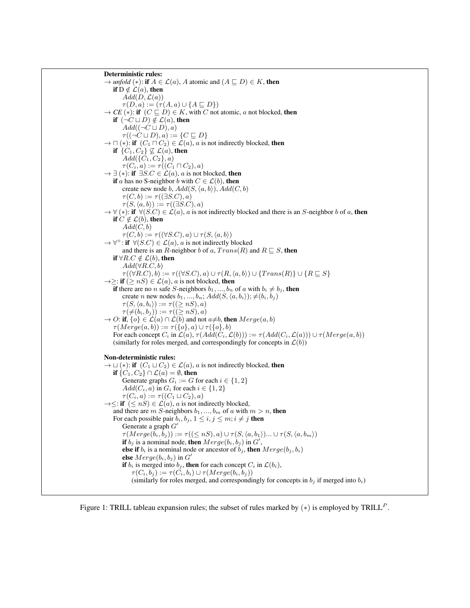```
Deterministic rules:
\rightarrow unfold (*): if A \in \mathcal{L}(a), A atomic and (A \sqsubseteq D) \in K, then
    if D \notin \mathcal{L}(a), then
         Add(D, \mathcal{L}(a))\tau(D, a) := (\tau(A, a) \cup \{A \sqsubseteq D\})\rightarrow CE (*): if (C \sqsubseteq D) \in K, with C not atomic, a not blocked, then
    if (\neg C \sqcup D) \notin \mathcal{L}(a), then
         Add((\neg C \sqcup D), a)\tau((\neg C \sqcup D), a) := \{C \sqsubseteq D\}\rightarrow \Box (∗): if (C_1 \Box C_2) \in \mathcal{L}(a), a is not indirectly blocked, then
    if \{C_1, C_2\} \not\subseteq \mathcal{L}(a), then
         Add({C_1, C_2}, a)\tau(C_i, a) := \tau((C_1 \sqcap C_2), a)\rightarrow \exists (*): if \exists S.C \in \angle(a), a is not blocked, then
    if a has no S-neighbor b with C \in \mathcal{L}(b), then
         create new node b, Add(S,\langle a,b \rangle), Add(C, b)\tau(C, b) := \tau((\exists S.C), a)\tau(S, \langle a,b \rangle) := \tau((\exists S.C), a)\rightarrow \forall (*): if \forall (S.C) \in \mathcal{L}(a), a is not indirectly blocked and there is an S-neighbor b of a, then
    if C \notin \mathcal{L}(b), then
         Add(C, b)\tau(C, b) := \tau((\forall S.C), a) \cup \tau(S, \langle a, b \rangle)\rightarrow \forall^+: if \forall (S.C) \in \mathcal{L}(a), a is not indirectly blocked
         and there is an R-neighbor b of a, Trans(R) and R \sqsubseteq S, then
    if ∀R.C \notin \mathcal{L}(b), then
         Add(\forall R.C,b)\tau((\forall R.C), b) := \tau((\forall S.C), a) \cup \tau(R, \langle a,b \rangle) \cup \{Trans(R)\} \cup \{R \sqsubseteq S\}\rightarrow \geq: if (\geq nS) \in \mathcal{L}(a), a is not blocked, then
    if there are no n safe S-neighbors b_1, ..., b_n of a with b_i \neq b_j, then
         create n new nodes b_1, ..., b_n; Add(S, \langle a, b_i \rangle); \neq (b_i, b_j)\tau(S,\langle a,b_i \rangle) := \tau((\geq nS), a)\tau(\neq(b_i, b_j)) := \tau((\geq nS), a)\rightarrow O: if, \{o\} \in \mathcal{L}(a) \cap \mathcal{L}(b) and not a \neq b, then Merge(a, b)\tau(Merge(a,b)) := \tau(\{o\},a) \cup \tau(\{o\},b)For each concept C_i in \mathcal{L}(a), \tau(Add(C_i, \mathcal{L}(b))) := \tau(Add(C_i, \mathcal{L}(a))) \cup \tau(Merge(a, b))(similarly for roles merged, and correspondingly for concepts in \mathcal{L}(b))
Non-deterministic rules:
\rightarrow \sqcup (*): if (C_1 \sqcup C_2) \in \mathcal{L}(a), a is not indirectly blocked, then
    if \{C_1, C_2\} \cap \mathcal{L}(a) = \emptyset, then
         Generate graphs G_i := G for each i \in \{1, 2\}Add(C_i, a) in G_i for each i \in \{1, 2\}\tau(C_i, a) := \tau((C_1 \sqcup C_2), a)\rightarrow \leq: if (\leq nS) \in \mathcal{L}(a), a is not indirectly blocked,
    and there are m S-neighbors b_1, ..., b_m of a with m > n, then
    For each possible pair b_i, b_j, 1 \leq i, j \leq m; i \neq j then
         Generate a graph G'\tau(Merge(\bar{b}_i, \bar{b}_j)) := \tau((\leq nS), a) \cup \tau(S, \langle a,b_1 \rangle) ... \cup \tau(S, \langle a,b_m \rangle))if b_j is a nominal node, then Merge(b_i, b_j) in G',
         else if b_i is a nominal node or ancestor of b_i, then Merge(b_i, b_i)else Merge(b_i, b_j) in G'if b_i is merged into b_j, then for each concept C_i in \mathcal{L}(b_i),
             \tau(C_i, b_i) := \tau(\check{C_i}, b_i) \cup \tau(Merge(b_i, b_i))(similarly for roles merged, and correspondingly for concepts in b_i if merged into b_i)
```
Figure 1: TRILL tableau expansion rules; the subset of rules marked by  $(*)$  is employed by TRILL<sup>P</sup>.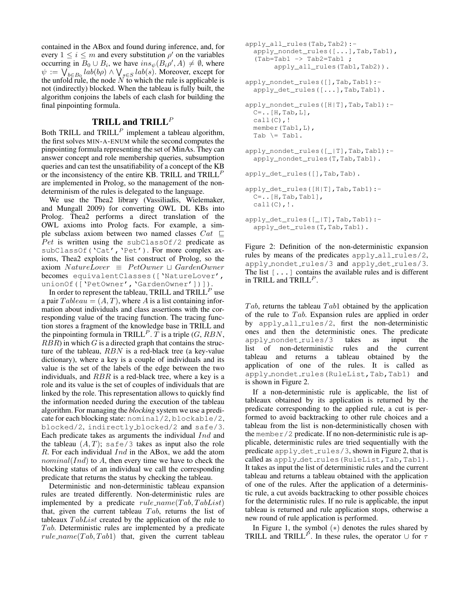contained in the ABox and found during inference, and, for every  $1 \leq i \leq m$  and every substitution  $\rho'$  on the variables occurring in  $B_0 \cup B_i$ , we have  $ins_{\psi}(B_i \rho', A) \neq \emptyset$ , where  $\psi := \bigvee_{b \in B_0} lab(b\rho) \wedge \bigvee_{s \in S} lab(s)$ . Moreover, except for the unfold rule, the node  $N$  to which the rule is applicable is not (indirectly) blocked. When the tableau is fully built, the algorithm conjoins the labels of each clash for building the final pinpointing formula.

# TRILL and  $TRILL<sup>P</sup>$

Both TRILL and  $TRILL<sup>P</sup>$  implement a tableau algorithm, the first solves MIN-A-ENUM while the second computes the pinpointing formula representing the set of MinAs. They can answer concept and role membership queries, subsumption queries and can test the unsatifiability of a concept of the KB or the inconsistency of the entire KB. TRILL and  $TRILL<sup>P</sup>$ are implemented in Prolog, so the management of the nondeterminism of the rules is delegated to the language.

We use the Thea2 library (Vassiliadis, Wielemaker, and Mungall 2009) for converting OWL DL KBs into Prolog. Thea2 performs a direct translation of the OWL axioms into Prolog facts. For example, a simple subclass axiom between two named classes  $Cat \subseteq$ Pet is written using the subClassOf/2 predicate as subClassOf('Cat', 'Pet'). For more complex axioms, Thea2 exploits the list construct of Prolog, so the axiom  $NatureLower \equiv PetOwner \sqcup GardenOwner$ becomes equivalentClasses(['NatureLover', unionOf(['PetOwner','GardenOwner'])]).

In order to represent the tableau, TRILL and  $\text{TRILL}^P$  use a pair  $Tableau = (A, T)$ , where A is a list containing information about individuals and class assertions with the corresponding value of the tracing function. The tracing function stores a fragment of the knowledge base in TRILL and the pinpointing formula in TRILL<sup>P</sup>. T is a triple  $(G, RBN,$  $RBR$ ) in which G is a directed graph that contains the structure of the tableau, RBN is a red-black tree (a key-value dictionary), where a key is a couple of individuals and its value is the set of the labels of the edge between the two individuals, and RBR is a red-black tree, where a key is a role and its value is the set of couples of individuals that are linked by the role. This representation allows to quickly find the information needed during the execution of the tableau algorithm. For managing the *blocking* system we use a predicate for each blocking state: nominal/2, blockable/2, blocked/2, indirectly blocked/2 and safe/3. Each predicate takes as arguments the individual Ind and the tableau  $(A, T)$ ; safe/3 takes as input also the role R. For each individual Ind in the ABox, we add the atom  $nominal(Ind)$  to A, then every time we have to check the blocking status of an individual we call the corresponding predicate that returns the status by checking the tableau.

Deterministic and non-deterministic tableau expansion rules are treated differently. Non-deterministic rules are implemented by a predicate  $rule\_name(Tab, TabList)$ that, given the current tableau  $Tab$ , returns the list of tableaux  $TabList$  created by the application of the rule to  $Tab.$  Deterministic rules are implemented by a predicate  $rule_name(Tab, Tab1)$  that, given the current tableau

```
apply_all_rules(Tab,Tab2):-
  apply_nondet_rules([...],Tab,Tab1),
  (Tab=Tab1 \rightarrow Tab2=Tab1;apply_all_rules(Tab1,Tab2)).
apply_nondet_rules([],Tab,Tab1):-
  apply_det_rules([...],Tab,Tab1).
apply_nondet_rules([H|T],Tab,Tab1):-
  C=..[H, Tab, L],
  call(C),!
 member(Tab1,L),
  Tab \leftarrow Tab1.
apply_nondet_rules([_|T],Tab,Tab1):-
  apply_nondet_rules(T,Tab,Tab1).
apply_det_rules([],Tab,Tab).
apply_det_rules([H|T],Tab,Tab1):-
  C = . . [H, Tab,Tab1],call(C), !.apply_det_rules([_|T],Tab,Tab1):-
  apply det rules(T,Tab,Tab1).
```
Figure 2: Definition of the non-deterministic expansion rules by means of the predicates apply  $all$  rules/2, apply\_nondet\_rules/3 and apply\_det\_rules/3. The list [...] contains the available rules and is different in TRILL and  $TRILL<sup>P</sup>$ .

Tab, returns the tableau  $Tab1$  obtained by the application of the rule to  $Tab.$  Expansion rules are applied in order by apply all rules/2, first the non-deterministic ones and then the deterministic ones. The predicate apply nondet rules/3 takes as input the list of non-deterministic rules and the current tableau and returns a tableau obtained by the application of one of the rules. It is called as apply\_nondet\_rules(RuleList,Tab,Tab1) and is shown in Figure 2.

If a non-deterministic rule is applicable, the list of tableaux obtained by its application is returned by the predicate corresponding to the applied rule, a cut is performed to avoid backtracking to other rule choices and a tableau from the list is non-deterministically chosen with the member/2 predicate. If no non-deterministic rule is applicable, deterministic rules are tried sequentially with the predicate  $apply$ -det-rules/3, shown in Figure 2, that is called as apply\_det\_rules(RuleList,Tab,Tab1). It takes as input the list of deterministic rules and the current tableau and returns a tableau obtained with the application of one of the rules. After the application of a deterministic rule, a cut avoids backtracking to other possible choices for the deterministic rules. If no rule is applicable, the input tableau is returned and rule application stops, otherwise a new round of rule application is performed.

In Figure 1, the symbol  $(*)$  denotes the rules shared by TRILL and TRILL<sup>P</sup>. In these rules, the operator ∪ for  $\tau$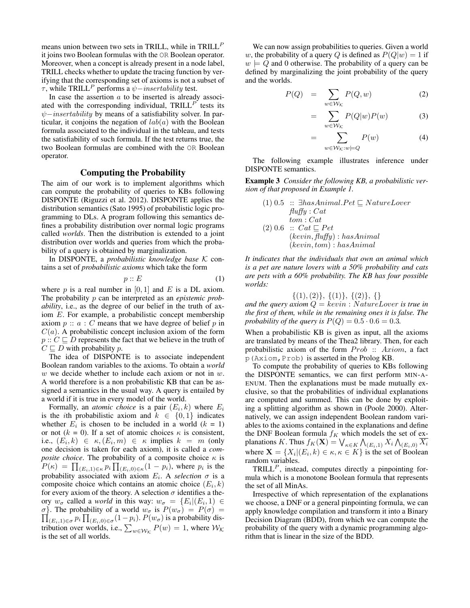means union between two sets in TRILL, while in TRILL<sup>P</sup> it joins two Boolean formulas with the OR Boolean operator. Moreover, when a concept is already present in a node label, TRILL checks whether to update the tracing function by verifying that the corresponding set of axioms is not a subset of  $τ$ , while TRILL<sup>P</sup> performs a  $ψ$ -insertability test.

In case the assertion  $a$  to be inserted is already associated with the corresponding individual,  $TRILL<sup>P</sup>$  tests its  $ψ$ −insertability by means of a satisfiability solver. In particular, it conjoins the negation of  $lab(a)$  with the Boolean formula associated to the individual in the tableau, and tests the satisfiability of such formula. If the test returns true, the two Boolean formulas are combined with the OR Boolean operator.

### Computing the Probability

The aim of our work is to implement algorithms which can compute the probability of queries to KBs following DISPONTE (Riguzzi et al. 2012). DISPONTE applies the distribution semantics (Sato 1995) of probabilistic logic programming to DLs. A program following this semantics defines a probability distribution over normal logic programs called *worlds*. Then the distribution is extended to a joint distribution over worlds and queries from which the probability of a query is obtained by marginalization.

In DISPONTE, a *probabilistic knowledge base* K contains a set of *probabilistic axioms* which take the form

$$
p :: E \tag{1}
$$

where p is a real number in  $[0, 1]$  and E is a DL axiom. The probability p can be interpreted as an *epistemic probability*, i.e., as the degree of our belief in the truth of axiom E. For example, a probabilistic concept membership axiom  $p :: a : C$  means that we have degree of belief p in  $C(a)$ . A probabilistic concept inclusion axiom of the form  $p :: C \sqsubset D$  represents the fact that we believe in the truth of  $C \sqsubset D$  with probability p.

The idea of DISPONTE is to associate independent Boolean random variables to the axioms. To obtain a *world*  $w$  we decide whether to include each axiom or not in  $w$ . A world therefore is a non probabilistic KB that can be assigned a semantics in the usual way. A query is entailed by a world if it is true in every model of the world.

Formally, an *atomic choice* is a pair  $(E_i, k)$  where  $E_i$ is the *i*th probabilistic axiom and  $k \in \{0, 1\}$  indicates whether  $E_i$  is chosen to be included in a world  $(k = 1)$ or not  $(k = 0)$ . If a set of atomic choices  $\kappa$  is consistent, i.e.,  $(E_i, k) \in \kappa$ ,  $(E_i, m) \in \kappa$  implies  $k = m$  (only one decision is taken for each axiom), it is called a *composite choice*. The probability of a composite choice  $\kappa$  is  $P(\kappa) = \prod_{(E_i,1) \in \kappa} p_i \prod_{(E_i,0) \in \kappa} (1-p_i)$ , where  $p_i$  is the probability associated with axiom  $E_i$ . A *selection*  $\sigma$  is a composite choice which contains an atomic choice  $(E_i, k)$ for every axiom of the theory. A selection  $\sigma$  identifies a theory  $w_{\sigma}$  called a *world* in this way:  $w_{\sigma} = \{E_i | (E_i, 1) \in$  $\sigma$ }. The probability of a world *w*<sub>σ</sub> is  $P(w_{σ}) = P(σ) =$ <br> $\prod_{(E_i,1) \in σ} p_i \prod_{(E_i,0) \in σ} (1-p_i)$ .  $P(w_{σ})$  is a probability distribution over worlds, i.e.,  $\sum_{w \in \mathcal{W}_{\mathcal{K}}} P(w) = 1$ , where  $\mathcal{W}_{\mathcal{K}}$ is the set of all worlds.

We can now assign probabilities to queries. Given a world w, the probability of a query Q is defined as  $P(Q|w) = 1$  if  $w \models Q$  and 0 otherwise. The probability of a query can be defined by marginalizing the joint probability of the query and the worlds.

$$
P(Q) = \sum_{w \in \mathcal{W}_{\mathcal{K}}} P(Q, w) \tag{2}
$$

$$
= \sum_{w \in \mathcal{W}_{\mathcal{K}}} P(Q|w)P(w) \tag{3}
$$

$$
= \sum_{w \in \mathcal{W}_{\mathcal{K}}: w \models Q} P(w) \tag{4}
$$

The following example illustrates inference under DISPONTE semantics.

Example 3 *Consider the following KB, a probabilistic version of that proposed in Example 1.*

(1) 0.5 :: 
$$
\exists
$$
 has Animal.Pet  $\sqsubseteq$  NatureLower  
\nfully : Cat  
\ntom : Cat  
\n(2) 0.6 :: Cat  $\sqsubseteq$  Pet  
\n(kevin, flyffy) : hasAnimal  
\n(kevin, tom) : hasAnimal

*It indicates that the individuals that own an animal which is a pet are nature lovers with a 50% probability and cats are pets with a 60% probability. The KB has four possible worlds:*

 $\{(1), (2)\}, \{(1)\}, \{(2)\}, \{\}$ 

*and the query axiom*  $Q = \text{kevin}: \text{NatureLower}$  *is true in the first of them, while in the remaining ones it is false. The probability of the query is*  $P(Q) = 0.5 \cdot 0.6 = 0.3$ .

When a probabilistic KB is given as input, all the axioms are translated by means of the Thea2 library. Then, for each probabilistic axiom of the form  $Prob :: Axiom$ , a fact p(Axiom,Prob) is asserted in the Prolog KB.

To compute the probability of queries to KBs following the DISPONTE semantics, we can first perform MIN-A-ENUM. Then the explanations must be made mutually exclusive, so that the probabilities of individual explanations are computed and summed. This can be done by exploiting a splitting algorithm as shown in (Poole 2000). Alternatively, we can assign independent Boolean random variables to the axioms contained in the explanations and define the DNF Boolean formula  $f_K$  which models the set of explanations  $K.$  Thus  $f_K(\mathbf{X}) = \bigvee_{\kappa \in K} \bigwedge_{(E_i,1)} X_i \bigwedge_{(E_i,0)} \overline{X_i}$ where  $\mathbf{X} = \{X_i | (E_i, k) \in \kappa, \kappa \in K\}$  is the set of Boolean random variables.

 $TRILL<sup>P</sup>$ , instead, computes directly a pinpointing formula which is a monotone Boolean formula that represents the set of all MinAs.

Irrespective of which representation of the explanations we choose, a DNF or a general pinpointing formula, we can apply knowledge compilation and transform it into a Binary Decision Diagram (BDD), from which we can compute the probability of the query with a dynamic programming algorithm that is linear in the size of the BDD.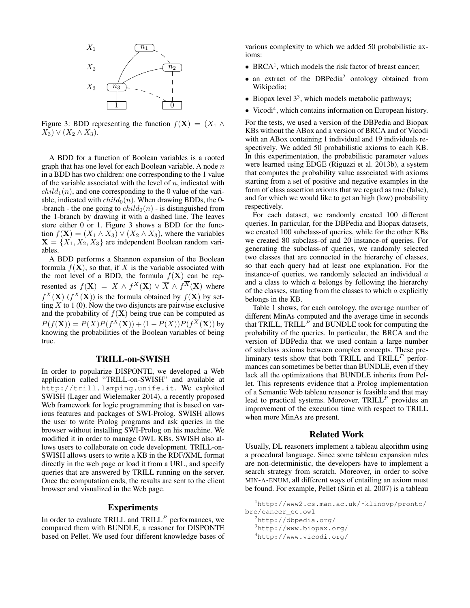

Figure 3: BDD representing the function  $f(\mathbf{X}) = (X_1 \wedge$  $(X_3) \vee (X_2 \wedge X_3).$ 

A BDD for a function of Boolean variables is a rooted graph that has one level for each Boolean variable. A node  $n$ in a BDD has two children: one corresponding to the 1 value of the variable associated with the level of  $n$ , indicated with  $child_1(n)$ , and one corresponding to the 0 value of the variable, indicated with  $child_0(n)$ . When drawing BDDs, the 0--branch - the one going to  $child_0(n)$  - is distinguished from the 1-branch by drawing it with a dashed line. The leaves store either 0 or 1. Figure 3 shows a BDD for the function  $f(\mathbf{X}) = (X_1 \wedge X_3) \vee (X_2 \wedge X_3)$ , where the variables  $X = \{X_1, X_2, X_3\}$  are independent Boolean random variables.

A BDD performs a Shannon expansion of the Boolean formula  $f(\mathbf{X})$ , so that, if X is the variable associated with the root level of a BDD, the formula  $f(\mathbf{X})$  can be represented as  $f(\mathbf{X}) = X \wedge f^X(\mathbf{X}) \vee \overline{X} \wedge f^X(\mathbf{X})$  where  $f^X(\mathbf{X})$  ( $f^X(\mathbf{X})$ ) is the formula obtained by  $f(\mathbf{X})$  by setting  $\overline{X}$  to 1 (0). Now the two disjuncts are pairwise exclusive and the probability of  $f(\mathbf{X})$  being true can be computed as  $P(f(\mathbf{X})) = P(X)P(f^X(\mathbf{X})) + (1 - P(X))P(f^X(\mathbf{X}))$  by knowing the probabilities of the Boolean variables of being true.

### TRILL-on-SWISH

In order to popularize DISPONTE, we developed a Web application called "TRILL-on-SWISH" and available at http://trill.lamping.unife.it. We exploited SWISH (Lager and Wielemaker 2014), a recently proposed Web framework for logic programming that is based on various features and packages of SWI-Prolog. SWISH allows the user to write Prolog programs and ask queries in the browser without installing SWI-Prolog on his machine. We modified it in order to manage OWL KBs. SWISH also allows users to collaborate on code development. TRILL-on-SWISH allows users to write a KB in the RDF/XML format directly in the web page or load it from a URL, and specify queries that are answered by TRILL running on the server. Once the computation ends, the results are sent to the client browser and visualized in the Web page.

## **Experiments**

In order to evaluate TRILL and  $TRILL<sup>P</sup>$  performances, we compared them with BUNDLE, a reasoner for DISPONTE based on Pellet. We used four different knowledge bases of

various complexity to which we added 50 probabilistic axioms:

- $\bullet$  BRCA<sup>1</sup>, which models the risk factor of breast cancer;
- an extract of the DBPedia<sup>2</sup> ontology obtained from Wikipedia;
- Biopax level  $3<sup>3</sup>$ , which models metabolic pathways;
- Vicodi<sup>4</sup>, which contains information on European history.

For the tests, we used a version of the DBPedia and Biopax KBs without the ABox and a version of BRCA and of Vicodi with an ABox containing 1 individual and 19 individuals respectively. We added 50 probabilistic axioms to each KB. In this experimentation, the probabilistic parameter values were learned using EDGE (Riguzzi et al. 2013b), a system that computes the probability value associated with axioms starting from a set of positive and negative examples in the form of class assertion axioms that we regard as true (false), and for which we would like to get an high (low) probability respectively.

For each dataset, we randomly created 100 different queries. In particular, for the DBPedia and Biopax datasets, we created 100 subclass-of queries, while for the other KBs we created 80 subclass-of and 20 instance-of queries. For generating the subclass-of queries, we randomly selected two classes that are connected in the hierarchy of classes, so that each query had at least one explanation. For the instance-of queries, we randomly selected an individual  $a$ and a class to which  $a$  belongs by following the hierarchy of the classes, starting from the classes to which  $a$  explicitly belongs in the KB.

Table 1 shows, for each ontology, the average number of different MinAs computed and the average time in seconds that TRILL,  $TRILL<sup>P</sup>$  and BUNDLE took for computing the probability of the queries. In particular, the BRCA and the version of DBPedia that we used contain a large number of subclass axioms between complex concepts. These preliminary tests show that both TRILL and TRILL<sup>P</sup> performances can sometimes be better than BUNDLE, even if they lack all the optimizations that BUNDLE inherits from Pellet. This represents evidence that a Prolog implementation of a Semantic Web tableau reasoner is feasible and that may lead to practical systems. Moreover,  $TRILL<sup>P</sup>$  provides an improvement of the execution time with respect to TRILL when more MinAs are present.

### Related Work

Usually, DL reasoners implement a tableau algorithm using a procedural language. Since some tableau expansion rules are non-deterministic, the developers have to implement a search strategy from scratch. Moreover, in order to solve MIN-A-ENUM, all different ways of entailing an axiom must be found. For example, Pellet (Sirin et al. 2007) is a tableau

<sup>1</sup>http://www2.cs.man.ac.uk/˜klinovp/pronto/ brc/cancer\_cc.owl

<sup>2</sup>http://dbpedia.org/

<sup>3</sup>http://www.biopax.org/

<sup>4</sup>http://www.vicodi.org/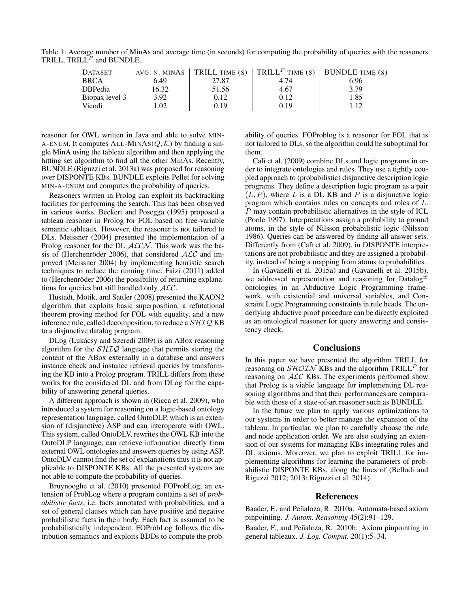Table 1: Average number of MinAs and average time (in seconds) for computing the probability of queries with the reasoners TRILL,  $TRILL$ <sup>P</sup> and BUNDLE.

| <b>DATASET</b> |       |       | AVG. N. MINAS   TRILL TIME (S)   TRILL <sup>P</sup> TIME (S)   BUNDLE TIME (S) |      |
|----------------|-------|-------|--------------------------------------------------------------------------------|------|
| <b>BRCA</b>    | 6.49  | 27.87 | 4.74                                                                           | 6.96 |
| <b>DBPedia</b> | 16.32 | 51.56 | 4.67                                                                           | 3.79 |
| Biopax level 3 | 3.92  | 0.12  | 0.12                                                                           | 1.85 |
| Vicodi         | 0.02  | 0.19  | 0.19                                                                           | 1.12 |

reasoner for OWL written in Java and able to solve MIN-A-ENUM. It computes ALL-MINAS( $Q, K$ ) by finding a single MinA using the tableau algorithm and then applying the hitting set algorithm to find all the other MinAs. Recently, BUNDLE (Riguzzi et al. 2013a) was proposed for reasoning over DISPONTE KBs. BUNDLE exploits Pellet for solving MIN-A-ENUM and computes the probability of queries.

Reasoners written in Prolog can exploit its backtracking facilities for performing the search. This has been observed in various works. Beckert and Posegga (1995) proposed a tableau reasoner in Prolog for FOL based on free-variable semantic tableaux. However, the reasoner is not tailored to DLs. Meissner (2004) presented the implementation of a Prolog reasoner for the DL  $ALCN$ . This work was the basis of (Herchenröder 2006), that considered  $ALC$  and improved (Meissner 2004) by implementing heuristic search techniques to reduce the running time. Faizi (2011) added to (Herchenröder 2006) the possibility of returning explanations for queries but still handled only ALC.

Hustadt, Motik, and Sattler (2008) presented the KAON2 algorithm that exploits basic superposition, a refutational theorem proving method for FOL with equality, and a new inference rule, called decomposition, to reduce a  $\mathcal{SHIQ}$  KB to a disjunctive datalog program.

DLog (Lukácsy and Szeredi 2009) is an ABox reasoning algorithm for the  $SHIQ$  language that permits storing the content of the ABox externally in a database and answers instance check and instance retrieval queries by transforming the KB into a Prolog program. TRILL differs from these works for the considered DL and from DLog for the capability of answering general queries.

A different approach is shown in (Ricca et al. 2009), who introduced a system for reasoning on a logic-based ontology representation language, called OntoDLP, which is an extension of (disjunctive) ASP and can interoperate with OWL. This system, called OntoDLV, rewrites the OWL KB into the OntoDLP language, can retrieve information directly from external OWL ontologies and answers queries by using ASP. OntoDLV cannot find the set of explanations thus it is not applicable to DISPONTE KBs. All the presented systems are not able to compute the probability of queries.

Bruynooghe et al. (2010) presented FOProbLog, an extension of ProbLog where a program contains a set of *probabilistic facts*, i.e. facts annotated with probabilities, and a set of general clauses which can have positive and negative probabilistic facts in their body. Each fact is assumed to be probabilistically independent. FOProbLog follows the distribution semantics and exploits BDDs to compute the probability of queries. FOProblog is a reasoner for FOL that is not tailored to DLs, so the algorithm could be suboptimal for them.

Calì et al. (2009) combine DLs and logic programs in order to integrate ontologies and rules. They use a tightly coupled approach to (probabilistic) disjunctive description logic programs. They define a description logic program as a pair  $(L, P)$ , where L is a DL KB and P is a disjunctive logic program which contains rules on concepts and roles of L. P may contain probabilistic alternatives in the style of ICL (Poole 1997). Interpretations assign a probability to ground atoms, in the style of Nilsson probabilistic logic (Nilsson 1986). Queries can be answered by finding all answer sets. Differently from (Calì et al. 2009), in DISPONTE interpretations are not probabilistic and they are assigned a probability, instead of being a mapping from atoms to probabilities.

In (Gavanelli et al. 2015a) and (Gavanelli et al. 2015b), we addressed representation and reasoning for Datalog $\pm$ ontologies in an Abductive Logic Programming framework, with existential and universal variables, and Constraint Logic Programming constraints in rule heads. The underlying abductive proof procedure can be directly exploited as an ontological reasoner for query answering and consistency check.

## **Conclusions**

In this paper we have presented the algorithm TRILL for reasoning on  $\mathcal{SHOLN}$  KBs and the algorithm TRILL<sup>P</sup> for reasoning on ALC KBs. The experiments performed show that Prolog is a viable language for implementing DL reasoning algorithms and that their performances are comparable with those of a state-of-art reasoner such as BUNDLE.

In the future we plan to apply various optimizations to our systems in order to better manage the expansion of the tableau. In particular, we plan to carefully choose the rule and node application order. We are also studying an extension of our systems for managing KBs integrating rules and DL axioms. Moreover, we plan to exploit TRILL for implementing algorithms for learning the parameters of probabilistic DISPONTE KBs, along the lines of (Bellodi and Riguzzi 2012; 2013; Riguzzi et al. 2014).

#### References

Baader, F., and Peñaloza, R. 2010a. Automata-based axiom pinpointing. *J. Autom. Reasoning* 45(2):91–129.

Baader, F., and Peñaloza, R. 2010b. Axiom pinpointing in general tableaux. *J. Log. Comput.* 20(1):5–34.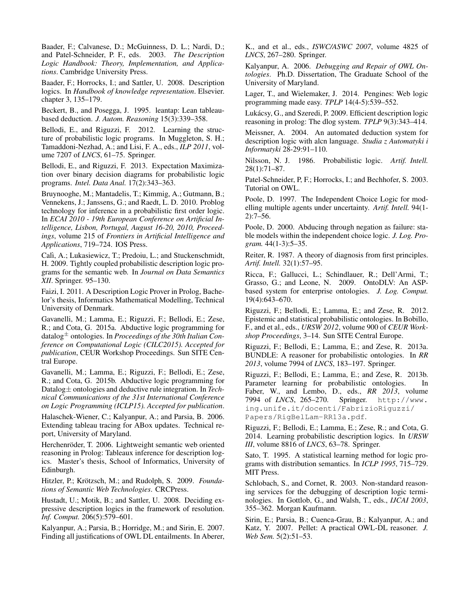Baader, F.; Calvanese, D.; McGuinness, D. L.; Nardi, D.; and Patel-Schneider, P. F., eds. 2003. *The Description Logic Handbook: Theory, Implementation, and Applications*. Cambridge University Press.

Baader, F.; Horrocks, I.; and Sattler, U. 2008. Description logics. In *Handbook of knowledge representation*. Elsevier. chapter 3, 135–179.

Beckert, B., and Posegga, J. 1995. leantap: Lean tableaubased deduction. *J. Autom. Reasoning* 15(3):339–358.

Bellodi, E., and Riguzzi, F. 2012. Learning the structure of probabilistic logic programs. In Muggleton, S. H.; Tamaddoni-Nezhad, A.; and Lisi, F. A., eds., *ILP 2011*, volume 7207 of *LNCS*, 61–75. Springer.

Bellodi, E., and Riguzzi, F. 2013. Expectation Maximization over binary decision diagrams for probabilistic logic programs. *Intel. Data Anal.* 17(2):343–363.

Bruynooghe, M.; Mantadelis, T.; Kimmig, A.; Gutmann, B.; Vennekens, J.; Janssens, G.; and Raedt, L. D. 2010. Problog technology for inference in a probabilistic first order logic. In *ECAI 2010 - 19th European Conference on Artificial Intelligence, Lisbon, Portugal, August 16-20, 2010, Proceedings*, volume 215 of *Frontiers in Artificial Intelligence and Applications*, 719–724. IOS Press.

Calì, A.; Lukasiewicz, T.; Predoiu, L.; and Stuckenschmidt, H. 2009. Tightly coupled probabilistic description logic programs for the semantic web. In *Journal on Data Semantics XII*. Springer. 95–130.

Faizi, I. 2011. A Description Logic Prover in Prolog, Bachelor's thesis, Informatics Mathematical Modelling, Technical University of Denmark.

Gavanelli, M.; Lamma, E.; Riguzzi, F.; Bellodi, E.; Zese, R.; and Cota, G. 2015a. Abductive logic programming for datalog<sup>±</sup> ontologies. In *Proceedings of the 30th Italian Conference on Computational Logic (CILC2015). Accepted for publication*, CEUR Workshop Proceedings. Sun SITE Central Europe.

Gavanelli, M.; Lamma, E.; Riguzzi, F.; Bellodi, E.; Zese, R.; and Cota, G. 2015b. Abductive logic programming for Datalog± ontologies and deductive rule integration. In *Technical Communications of the 31st International Conference on Logic Programming (ICLP15). Accepted for publication*.

Halaschek-Wiener, C.; Kalyanpur, A.; and Parsia, B. 2006. Extending tableau tracing for ABox updates. Technical report, University of Maryland.

Herchenröder, T. 2006. Lightweight semantic web oriented reasoning in Prolog: Tableaux inference for description logics. Master's thesis, School of Informatics, University of Edinburgh.

Hitzler, P.; Krötzsch, M.; and Rudolph, S. 2009. Founda*tions of Semantic Web Technologies*. CRCPress.

Hustadt, U.; Motik, B.; and Sattler, U. 2008. Deciding expressive description logics in the framework of resolution. *Inf. Comput.* 206(5):579–601.

Kalyanpur, A.; Parsia, B.; Horridge, M.; and Sirin, E. 2007. Finding all justifications of OWL DL entailments. In Aberer,

K., and et al., eds., *ISWC/ASWC 2007*, volume 4825 of *LNCS*, 267–280. Springer.

Kalyanpur, A. 2006. *Debugging and Repair of OWL Ontologies*. Ph.D. Dissertation, The Graduate School of the University of Maryland.

Lager, T., and Wielemaker, J. 2014. Pengines: Web logic programming made easy. *TPLP* 14(4-5):539–552.

Lukacsy, G., and Szeredi, P. 2009. Efficient description logic ´ reasoning in prolog: The dlog system. *TPLP* 9(3):343–414.

Meissner, A. 2004. An automated deduction system for description logic with alcn language. *Studia z Automatyki i Informatyki* 28-29:91–110.

Nilsson, N. J. 1986. Probabilistic logic. *Artif. Intell.* 28(1):71–87.

Patel-Schneider, P, F.; Horrocks, I.; and Bechhofer, S. 2003. Tutorial on OWL.

Poole, D. 1997. The Independent Choice Logic for modelling multiple agents under uncertainty. *Artif. Intell.* 94(1- 2):7–56.

Poole, D. 2000. Abducing through negation as failure: stable models within the independent choice logic. *J. Log. Program.* 44(1-3):5–35.

Reiter, R. 1987. A theory of diagnosis from first principles. *Artif. Intell.* 32(1):57–95.

Ricca, F.; Gallucci, L.; Schindlauer, R.; Dell'Armi, T.; Grasso, G.; and Leone, N. 2009. OntoDLV: An ASPbased system for enterprise ontologies. *J. Log. Comput.* 19(4):643–670.

Riguzzi, F.; Bellodi, E.; Lamma, E.; and Zese, R. 2012. Epistemic and statistical probabilistic ontologies. In Bobillo, F., and et al., eds., *URSW 2012*, volume 900 of *CEUR Workshop Proceedings*, 3–14. Sun SITE Central Europe.

Riguzzi, F.; Bellodi, E.; Lamma, E.; and Zese, R. 2013a. BUNDLE: A reasoner for probabilistic ontologies. In *RR 2013*, volume 7994 of *LNCS*, 183–197. Springer.

Riguzzi, F.; Bellodi, E.; Lamma, E.; and Zese, R. 2013b. Parameter learning for probabilistic ontologies. Faber, W., and Lembo, D., eds., *RR 2013*, volume 7994 of *LNCS*, 265–270. Springer. http://www. ing.unife.it/docenti/FabrizioRiguzzi/ Papers/RigBelLam-RR13a.pdf.

Riguzzi, F.; Bellodi, E.; Lamma, E.; Zese, R.; and Cota, G. 2014. Learning probabilistic description logics. In *URSW III*, volume 8816 of *LNCS*, 63–78. Springer.

Sato, T. 1995. A statistical learning method for logic programs with distribution semantics. In *ICLP 1995*, 715–729. MIT Press.

Schlobach, S., and Cornet, R. 2003. Non-standard reasoning services for the debugging of description logic terminologies. In Gottlob, G., and Walsh, T., eds., *IJCAI 2003*, 355–362. Morgan Kaufmann.

Sirin, E.; Parsia, B.; Cuenca-Grau, B.; Kalyanpur, A.; and Katz, Y. 2007. Pellet: A practical OWL-DL reasoner. *J. Web Sem.* 5(2):51–53.